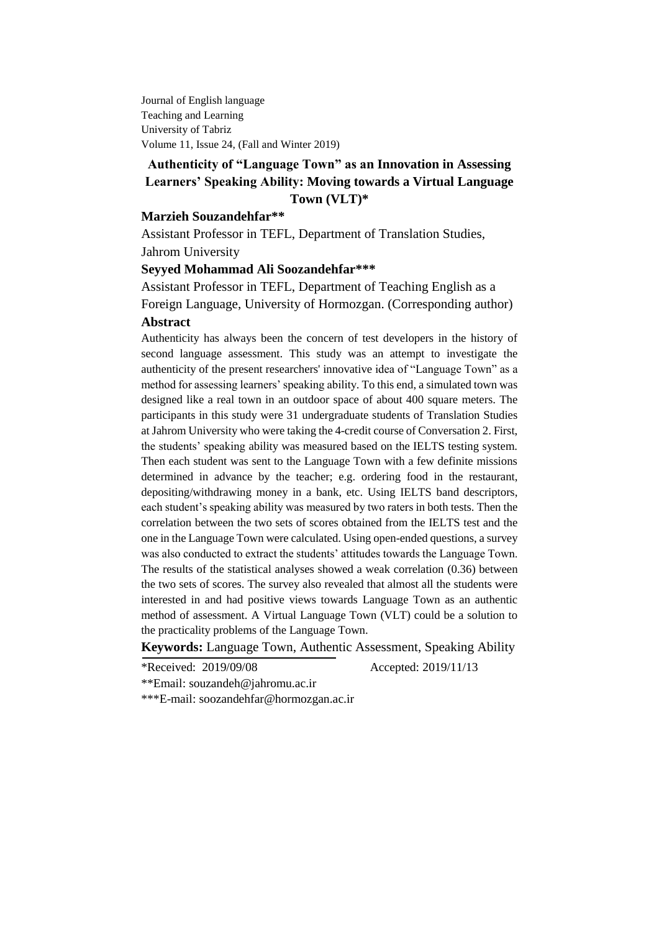Journal of English language Teaching and Learning University of Tabriz Volume 11, Issue 24, (Fall and Winter 2019)

# **Authenticity of "Language Town" as an Innovation in Assessing Learners' Speaking Ability: Moving towards a Virtual Language Town (VLT)\***

# **Marzieh Souzandehfar\*\***

Assistant Professor in TEFL, Department of Translation Studies, Jahrom University

### **Seyyed Mohammad Ali Soozandehfar\*\*\***

Assistant Professor in TEFL, Department of Teaching English as a Foreign Language, University of Hormozgan. (Corresponding author)

### **Abstract**

Authenticity has always been the concern of test developers in the history of second language assessment. This study was an attempt to investigate the authenticity of the present researchers' innovative idea of "Language Town" as a method for assessing learners' speaking ability. To this end, a simulated town was designed like a real town in an outdoor space of about 400 square meters. The participants in this study were 31 undergraduate students of Translation Studies at Jahrom University who were taking the 4-credit course of Conversation 2. First, the students' speaking ability was measured based on the IELTS testing system. Then each student was sent to the Language Town with a few definite missions determined in advance by the teacher; e.g. ordering food in the restaurant, depositing/withdrawing money in a bank, etc. Using IELTS band descriptors, each student's speaking ability was measured by two raters in both tests. Then the correlation between the two sets of scores obtained from the IELTS test and the one in the Language Town were calculated. Using open-ended questions, a survey was also conducted to extract the students' attitudes towards the Language Town. The results of the statistical analyses showed a weak correlation (0.36) between the two sets of scores. The survey also revealed that almost all the students were interested in and had positive views towards Language Town as an authentic method of assessment. A Virtual Language Town (VLT) could be a solution to the practicality problems of the Language Town.

**Keywords:** Language Town, Authentic Assessment, Speaking Ability

\*Received: 2019/09/08 Accepted: 2019/11/13

\*\*Email: [souzandeh@jahromu.ac.ir](mailto:souzandeh@jahromu.ac.ir)

\*\*\*E-mail: [soozandehfar@hormozgan.ac.ir](mailto:soozandehfar@hormozgan.ac.ir)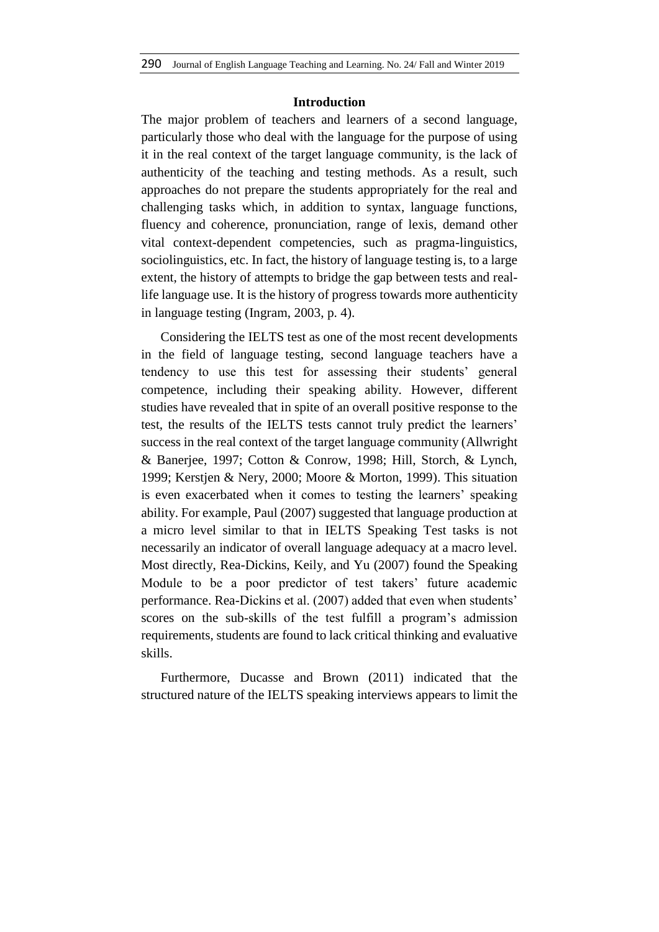## **Introduction**

The major problem of teachers and learners of a second language, particularly those who deal with the language for the purpose of using it in the real context of the target language community, is the lack of authenticity of the teaching and testing methods. As a result, such approaches do not prepare the students appropriately for the real and challenging tasks which, in addition to syntax, language functions, fluency and coherence, pronunciation, range of lexis, demand other vital context-dependent competencies, such as pragma-linguistics, sociolinguistics, etc. In fact, the history of language testing is, to a large extent, the history of attempts to bridge the gap between tests and reallife language use. It is the history of progress towards more authenticity in language testing (Ingram, 2003, p. 4).

Considering the IELTS test as one of the most recent developments in the field of language testing, second language teachers have a tendency to use this test for assessing their students' general competence, including their speaking ability. However, different studies have revealed that in spite of an overall positive response to the test, the results of the IELTS tests cannot truly predict the learners' success in the real context of the target language community (Allwright & Banerjee, 1997; Cotton & Conrow, 1998; Hill, Storch, & Lynch, 1999; Kerstjen & Nery, 2000; Moore & Morton, 1999). This situation is even exacerbated when it comes to testing the learners' speaking ability. For example, Paul (2007) suggested that language production at a micro level similar to that in IELTS Speaking Test tasks is not necessarily an indicator of overall language adequacy at a macro level. Most directly, Rea-Dickins, Keily, and Yu (2007) found the Speaking Module to be a poor predictor of test takers' future academic performance. Rea-Dickins et al. (2007) added that even when students' scores on the sub-skills of the test fulfill a program's admission requirements, students are found to lack critical thinking and evaluative skills.

Furthermore, Ducasse and Brown (2011) indicated that the structured nature of the IELTS speaking interviews appears to limit the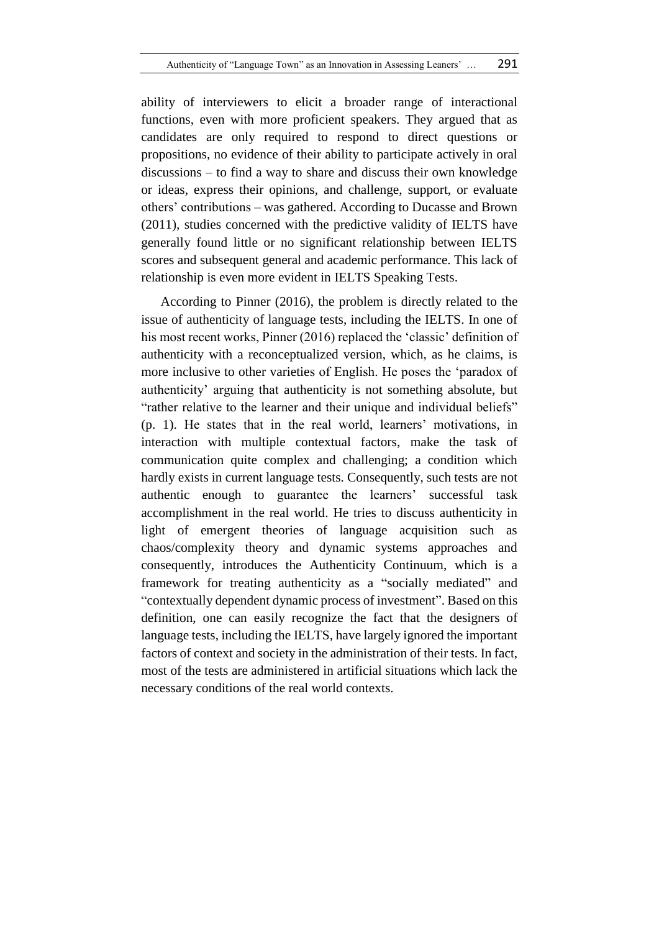ability of interviewers to elicit a broader range of interactional functions, even with more proficient speakers. They argued that as candidates are only required to respond to direct questions or propositions, no evidence of their ability to participate actively in oral discussions – to find a way to share and discuss their own knowledge or ideas, express their opinions, and challenge, support, or evaluate others' contributions – was gathered. According to Ducasse and Brown (2011), studies concerned with the predictive validity of IELTS have generally found little or no significant relationship between IELTS scores and subsequent general and academic performance. This lack of relationship is even more evident in IELTS Speaking Tests.

According to Pinner (2016), the problem is directly related to the issue of authenticity of language tests, including the IELTS. In one of his most recent works, Pinner (2016) replaced the 'classic' definition of authenticity with a reconceptualized version, which, as he claims, is more inclusive to other varieties of English. He poses the 'paradox of authenticity' arguing that authenticity is not something absolute, but "rather relative to the learner and their unique and individual beliefs" (p. 1). He states that in the real world, learners' motivations, in interaction with multiple contextual factors, make the task of communication quite complex and challenging; a condition which hardly exists in current language tests. Consequently, such tests are not authentic enough to guarantee the learners' successful task accomplishment in the real world. He tries to discuss authenticity in light of emergent theories of language acquisition such as chaos/complexity theory and dynamic systems approaches and consequently, introduces the Authenticity Continuum, which is a framework for treating authenticity as a "socially mediated" and "contextually dependent dynamic process of investment". Based on this definition, one can easily recognize the fact that the designers of language tests, including the IELTS, have largely ignored the important factors of context and society in the administration of their tests. In fact, most of the tests are administered in artificial situations which lack the necessary conditions of the real world contexts.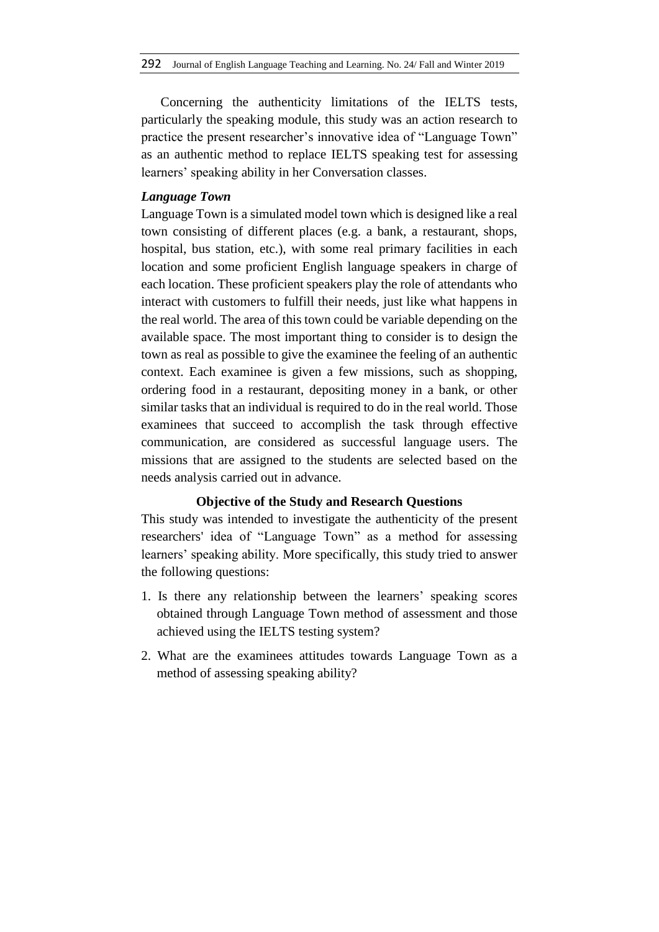Concerning the authenticity limitations of the IELTS tests, particularly the speaking module, this study was an action research to practice the present researcher's innovative idea of "Language Town" as an authentic method to replace IELTS speaking test for assessing learners' speaking ability in her Conversation classes.

# *Language Town*

Language Town is a simulated model town which is designed like a real town consisting of different places (e.g. a bank, a restaurant, shops, hospital, bus station, etc.), with some real primary facilities in each location and some proficient English language speakers in charge of each location. These proficient speakers play the role of attendants who interact with customers to fulfill their needs, just like what happens in the real world. The area of this town could be variable depending on the available space. The most important thing to consider is to design the town as real as possible to give the examinee the feeling of an authentic context. Each examinee is given a few missions, such as shopping, ordering food in a restaurant, depositing money in a bank, or other similar tasks that an individual is required to do in the real world. Those examinees that succeed to accomplish the task through effective communication, are considered as successful language users. The missions that are assigned to the students are selected based on the needs analysis carried out in advance.

# **Objective of the Study and Research Questions**

This study was intended to investigate the authenticity of the present researchers' idea of "Language Town" as a method for assessing learners' speaking ability. More specifically, this study tried to answer the following questions:

- 1. Is there any relationship between the learners' speaking scores obtained through Language Town method of assessment and those achieved using the IELTS testing system?
- 2. What are the examinees attitudes towards Language Town as a method of assessing speaking ability?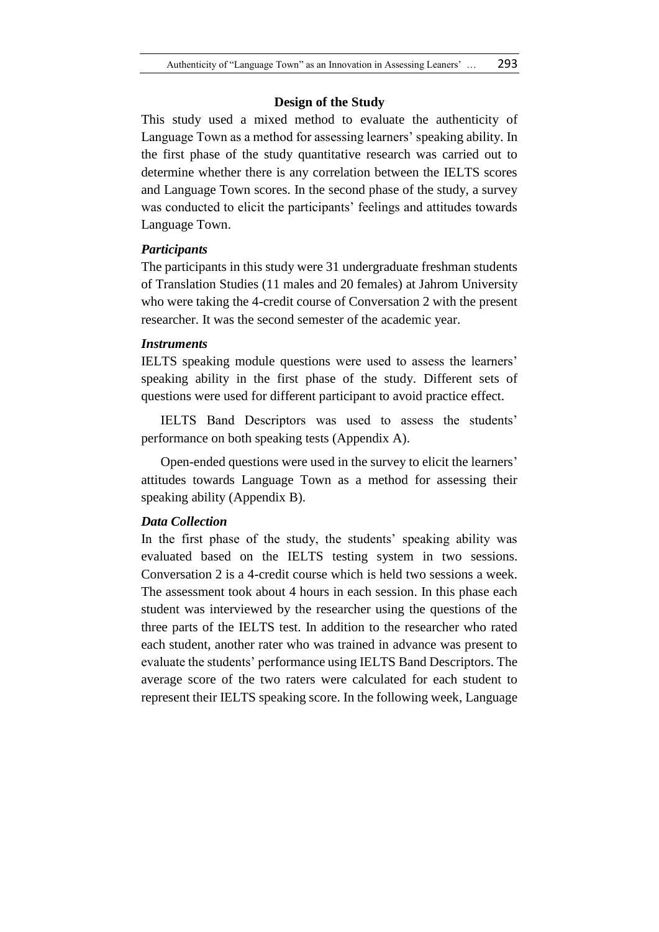## **Design of the Study**

This study used a mixed method to evaluate the authenticity of Language Town as a method for assessing learners' speaking ability. In the first phase of the study quantitative research was carried out to determine whether there is any correlation between the IELTS scores and Language Town scores. In the second phase of the study, a survey was conducted to elicit the participants' feelings and attitudes towards Language Town.

# *Participants*

The participants in this study were 31 undergraduate freshman students of Translation Studies (11 males and 20 females) at Jahrom University who were taking the 4-credit course of Conversation 2 with the present researcher. It was the second semester of the academic year.

### *Instruments*

IELTS speaking module questions were used to assess the learners' speaking ability in the first phase of the study. Different sets of questions were used for different participant to avoid practice effect.

IELTS Band Descriptors was used to assess the students' performance on both speaking tests (Appendix A).

Open-ended questions were used in the survey to elicit the learners' attitudes towards Language Town as a method for assessing their speaking ability (Appendix B).

# *Data Collection*

In the first phase of the study, the students' speaking ability was evaluated based on the IELTS testing system in two sessions. Conversation 2 is a 4-credit course which is held two sessions a week. The assessment took about 4 hours in each session. In this phase each student was interviewed by the researcher using the questions of the three parts of the IELTS test. In addition to the researcher who rated each student, another rater who was trained in advance was present to evaluate the students' performance using IELTS Band Descriptors. The average score of the two raters were calculated for each student to represent their IELTS speaking score. In the following week, Language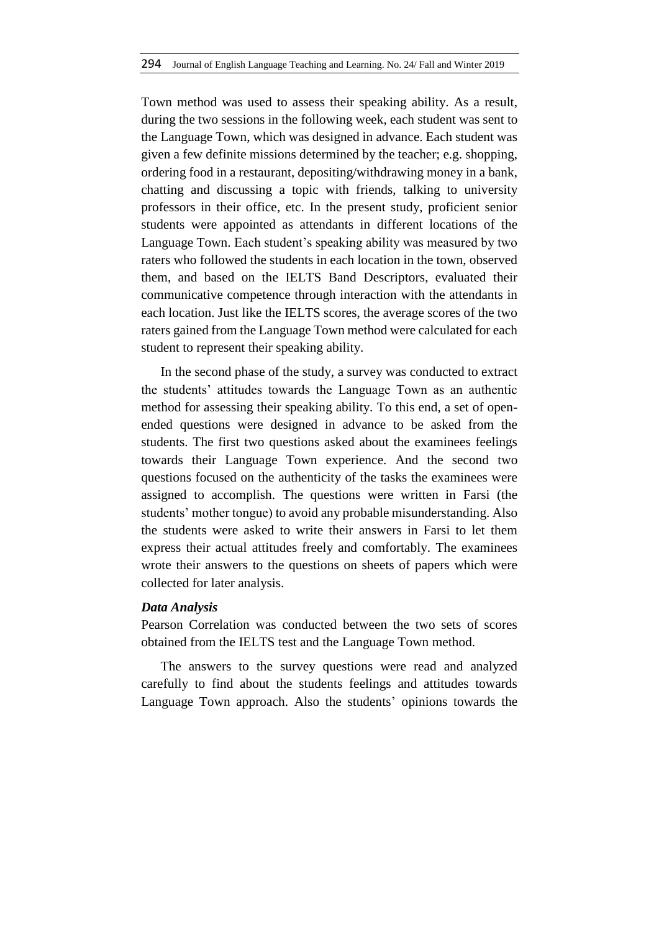Town method was used to assess their speaking ability. As a result, during the two sessions in the following week, each student was sent to the Language Town, which was designed in advance. Each student was given a few definite missions determined by the teacher; e.g. shopping, ordering food in a restaurant, depositing/withdrawing money in a bank, chatting and discussing a topic with friends, talking to university professors in their office, etc. In the present study, proficient senior students were appointed as attendants in different locations of the Language Town. Each student's speaking ability was measured by two raters who followed the students in each location in the town, observed them, and based on the IELTS Band Descriptors, evaluated their communicative competence through interaction with the attendants in each location. Just like the IELTS scores, the average scores of the two raters gained from the Language Town method were calculated for each student to represent their speaking ability.

In the second phase of the study, a survey was conducted to extract the students' attitudes towards the Language Town as an authentic method for assessing their speaking ability. To this end, a set of openended questions were designed in advance to be asked from the students. The first two questions asked about the examinees feelings towards their Language Town experience. And the second two questions focused on the authenticity of the tasks the examinees were assigned to accomplish. The questions were written in Farsi (the students' mother tongue) to avoid any probable misunderstanding. Also the students were asked to write their answers in Farsi to let them express their actual attitudes freely and comfortably. The examinees wrote their answers to the questions on sheets of papers which were collected for later analysis.

#### *Data Analysis*

Pearson Correlation was conducted between the two sets of scores obtained from the IELTS test and the Language Town method.

The answers to the survey questions were read and analyzed carefully to find about the students feelings and attitudes towards Language Town approach. Also the students' opinions towards the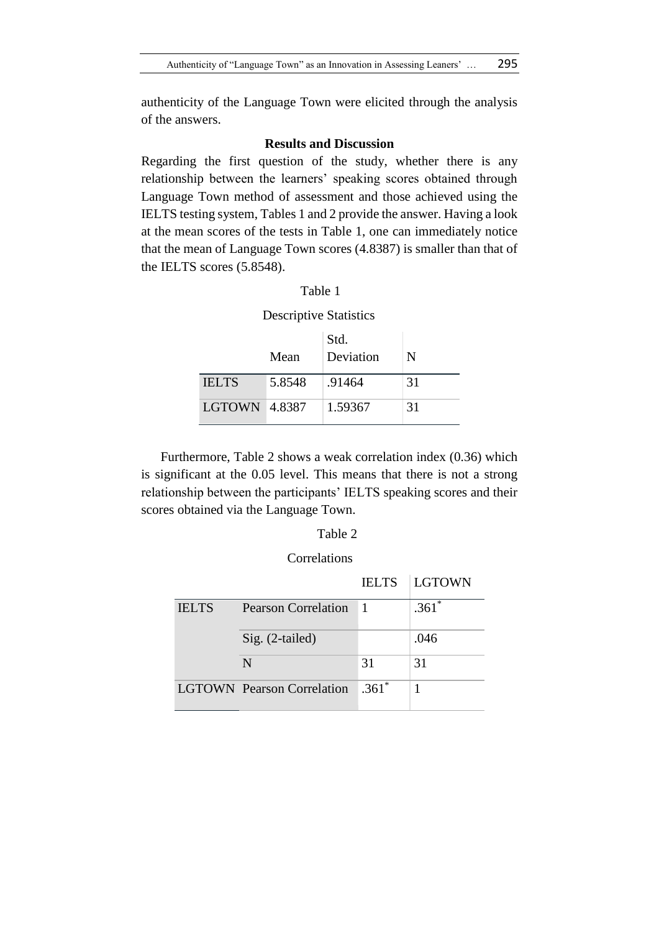authenticity of the Language Town were elicited through the analysis of the answers.

# **Results and Discussion**

Regarding the first question of the study, whether there is any relationship between the learners' speaking scores obtained through Language Town method of assessment and those achieved using the IELTS testing system, Tables 1 and 2 provide the answer. Having a look at the mean scores of the tests in Table 1, one can immediately notice that the mean of Language Town scores (4.8387) is smaller than that of the IELTS scores (5.8548).

### Table 1

#### Descriptive Statistics

|                      | Mean   | Std.<br>Deviation | N  |
|----------------------|--------|-------------------|----|
| <b>IELTS</b>         | 5.8548 | .91464            | 31 |
| <b>LGTOWN 4.8387</b> |        | 1.59367           | 31 |

Furthermore, Table 2 shows a weak correlation index (0.36) which is significant at the 0.05 level. This means that there is not a strong relationship between the participants' IELTS speaking scores and their scores obtained via the Language Town.

# Table 2

# Correlations

|              |                                   |              | <b>IELTS</b> LGTOWN |
|--------------|-----------------------------------|--------------|---------------------|
| <b>IELTS</b> | Pearson Correlation               | $\mathbf{1}$ | $.361*$             |
|              | $Sig. (2-tailed)$                 |              | .046                |
|              | N                                 | 31           | 31                  |
|              | <b>LGTOWN</b> Pearson Correlation | $.361*$      |                     |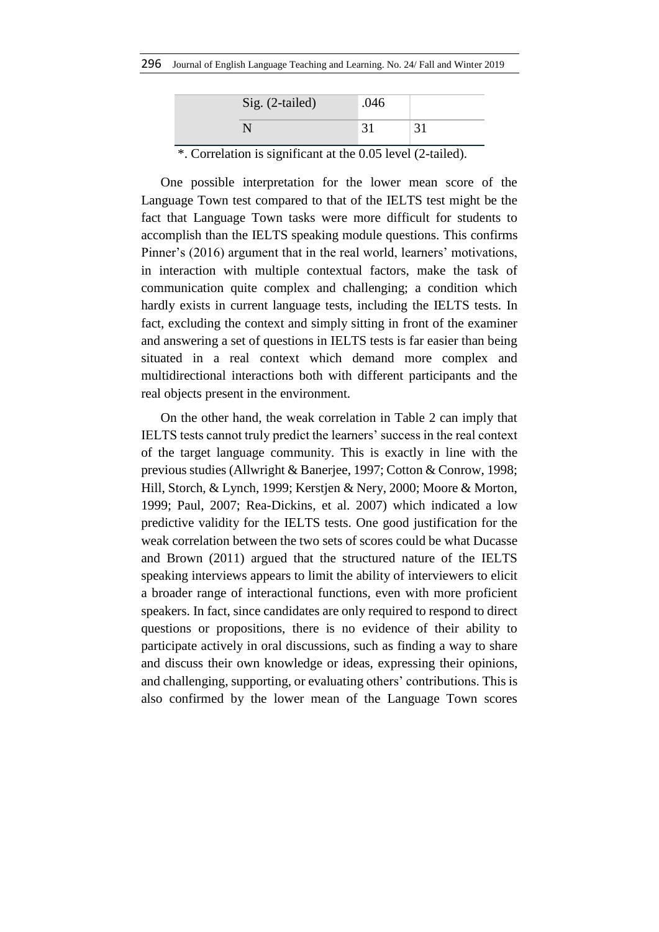| Sig. (2-tailed) | .046 |  |
|-----------------|------|--|
|                 |      |  |

\*. Correlation is significant at the 0.05 level (2-tailed).

One possible interpretation for the lower mean score of the Language Town test compared to that of the IELTS test might be the fact that Language Town tasks were more difficult for students to accomplish than the IELTS speaking module questions. This confirms Pinner's (2016) argument that in the real world, learners' motivations, in interaction with multiple contextual factors, make the task of communication quite complex and challenging; a condition which hardly exists in current language tests, including the IELTS tests. In fact, excluding the context and simply sitting in front of the examiner and answering a set of questions in IELTS tests is far easier than being situated in a real context which demand more complex and multidirectional interactions both with different participants and the real objects present in the environment.

On the other hand, the weak correlation in Table 2 can imply that IELTS tests cannot truly predict the learners' success in the real context of the target language community. This is exactly in line with the previous studies (Allwright & Banerjee, 1997; Cotton & Conrow, 1998; Hill, Storch, & Lynch, 1999; Kerstjen & Nery, 2000; Moore & Morton, 1999; Paul, 2007; Rea-Dickins, et al. 2007) which indicated a low predictive validity for the IELTS tests. One good justification for the weak correlation between the two sets of scores could be what Ducasse and Brown (2011) argued that the structured nature of the IELTS speaking interviews appears to limit the ability of interviewers to elicit a broader range of interactional functions, even with more proficient speakers. In fact, since candidates are only required to respond to direct questions or propositions, there is no evidence of their ability to participate actively in oral discussions, such as finding a way to share and discuss their own knowledge or ideas, expressing their opinions, and challenging, supporting, or evaluating others' contributions. This is also confirmed by the lower mean of the Language Town scores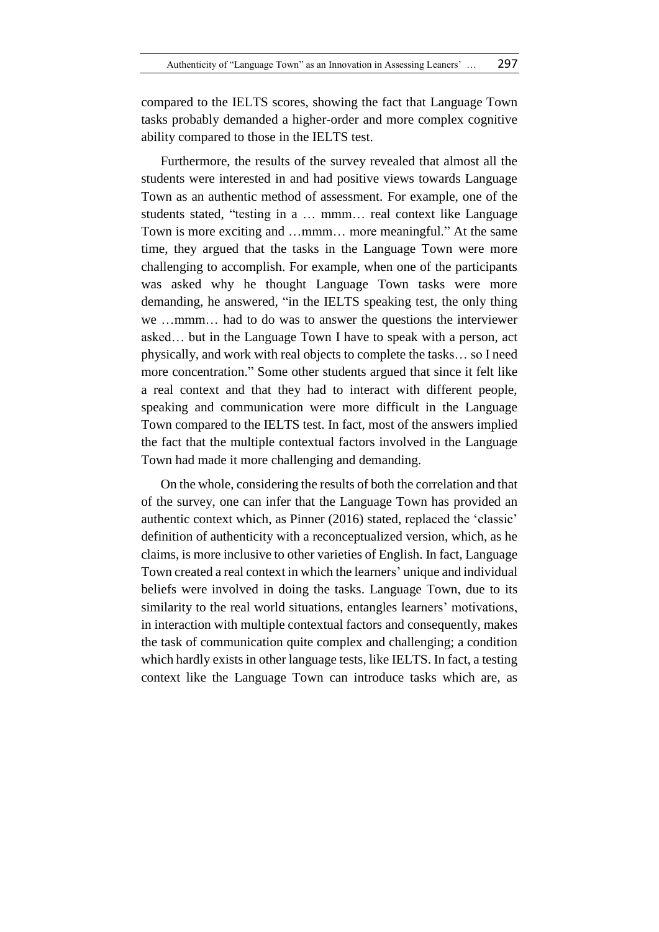compared to the IELTS scores, showing the fact that Language Town tasks probably demanded a higher-order and more complex cognitive ability compared to those in the IELTS test.

Furthermore, the results of the survey revealed that almost all the students were interested in and had positive views towards Language Town as an authentic method of assessment. For example, one of the students stated, "testing in a … mmm… real context like Language Town is more exciting and …mmm… more meaningful." At the same time, they argued that the tasks in the Language Town were more challenging to accomplish. For example, when one of the participants was asked why he thought Language Town tasks were more demanding, he answered, "in the IELTS speaking test, the only thing we …mmm… had to do was to answer the questions the interviewer asked… but in the Language Town I have to speak with a person, act physically, and work with real objects to complete the tasks… so I need more concentration." Some other students argued that since it felt like a real context and that they had to interact with different people, speaking and communication were more difficult in the Language Town compared to the IELTS test. In fact, most of the answers implied the fact that the multiple contextual factors involved in the Language Town had made it more challenging and demanding.

On the whole, considering the results of both the correlation and that of the survey, one can infer that the Language Town has provided an authentic context which, as Pinner (2016) stated, replaced the 'classic' definition of authenticity with a reconceptualized version, which, as he claims, is more inclusive to other varieties of English. In fact, Language Town created a real context in which the learners' unique and individual beliefs were involved in doing the tasks. Language Town, due to its similarity to the real world situations, entangles learners' motivations, in interaction with multiple contextual factors and consequently, makes the task of communication quite complex and challenging; a condition which hardly exists in other language tests, like IELTS. In fact, a testing context like the Language Town can introduce tasks which are, as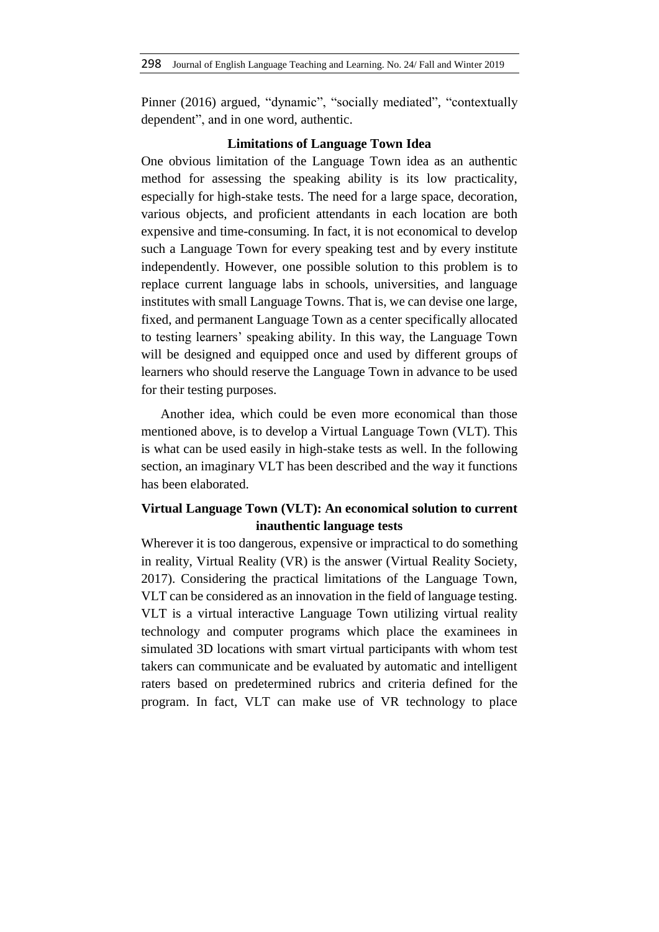Pinner (2016) argued, "dynamic", "socially mediated", "contextually dependent", and in one word, authentic.

# **Limitations of Language Town Idea**

One obvious limitation of the Language Town idea as an authentic method for assessing the speaking ability is its low practicality, especially for high-stake tests. The need for a large space, decoration, various objects, and proficient attendants in each location are both expensive and time-consuming. In fact, it is not economical to develop such a Language Town for every speaking test and by every institute independently. However, one possible solution to this problem is to replace current language labs in schools, universities, and language institutes with small Language Towns. That is, we can devise one large, fixed, and permanent Language Town as a center specifically allocated to testing learners' speaking ability. In this way, the Language Town will be designed and equipped once and used by different groups of learners who should reserve the Language Town in advance to be used for their testing purposes.

Another idea, which could be even more economical than those mentioned above, is to develop a Virtual Language Town (VLT). This is what can be used easily in high-stake tests as well. In the following section, an imaginary VLT has been described and the way it functions has been elaborated.

# **Virtual Language Town (VLT): An economical solution to current inauthentic language tests**

Wherever it is too dangerous, expensive or impractical to do something in reality, Virtual Reality (VR) is the answer (Virtual Reality Society, 2017). Considering the practical limitations of the Language Town, VLT can be considered as an innovation in the field of language testing. VLT is a virtual interactive Language Town utilizing virtual reality technology and computer programs which place the examinees in simulated 3D locations with smart virtual participants with whom test takers can communicate and be evaluated by automatic and intelligent raters based on predetermined rubrics and criteria defined for the program. In fact, VLT can make use of VR technology to place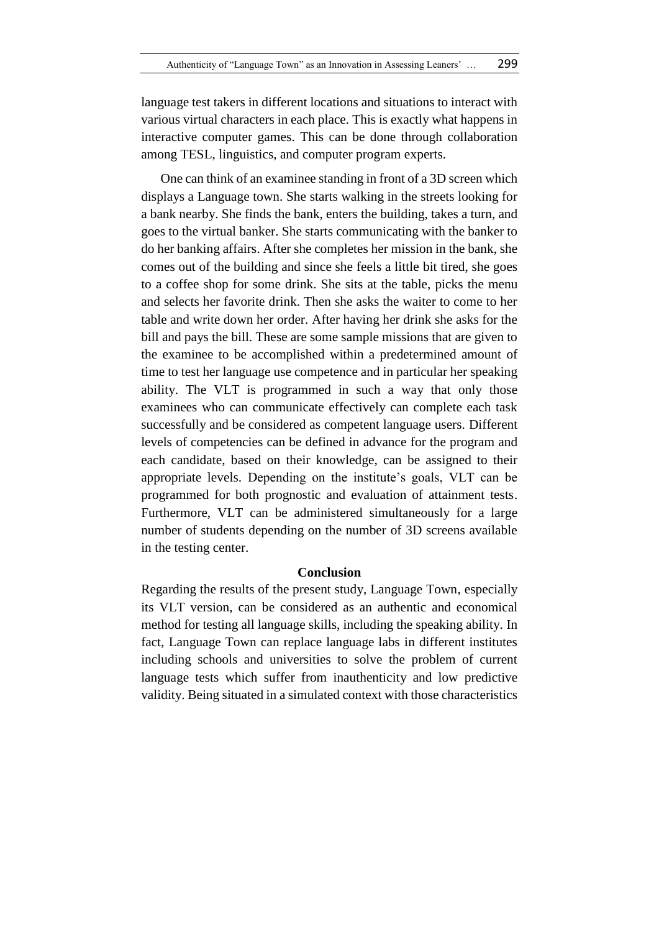language test takers in different locations and situations to interact with various virtual characters in each place. This is exactly what happens in interactive computer games. This can be done through collaboration among TESL, linguistics, and computer program experts.

One can think of an examinee standing in front of a 3D screen which displays a Language town. She starts walking in the streets looking for a bank nearby. She finds the bank, enters the building, takes a turn, and goes to the virtual banker. She starts communicating with the banker to do her banking affairs. After she completes her mission in the bank, she comes out of the building and since she feels a little bit tired, she goes to a coffee shop for some drink. She sits at the table, picks the menu and selects her favorite drink. Then she asks the waiter to come to her table and write down her order. After having her drink she asks for the bill and pays the bill. These are some sample missions that are given to the examinee to be accomplished within a predetermined amount of time to test her language use competence and in particular her speaking ability. The VLT is programmed in such a way that only those examinees who can communicate effectively can complete each task successfully and be considered as competent language users. Different levels of competencies can be defined in advance for the program and each candidate, based on their knowledge, can be assigned to their appropriate levels. Depending on the institute's goals, VLT can be programmed for both prognostic and evaluation of attainment tests. Furthermore, VLT can be administered simultaneously for a large number of students depending on the number of 3D screens available in the testing center.

# **Conclusion**

Regarding the results of the present study, Language Town, especially its VLT version, can be considered as an authentic and economical method for testing all language skills, including the speaking ability. In fact, Language Town can replace language labs in different institutes including schools and universities to solve the problem of current language tests which suffer from inauthenticity and low predictive validity. Being situated in a simulated context with those characteristics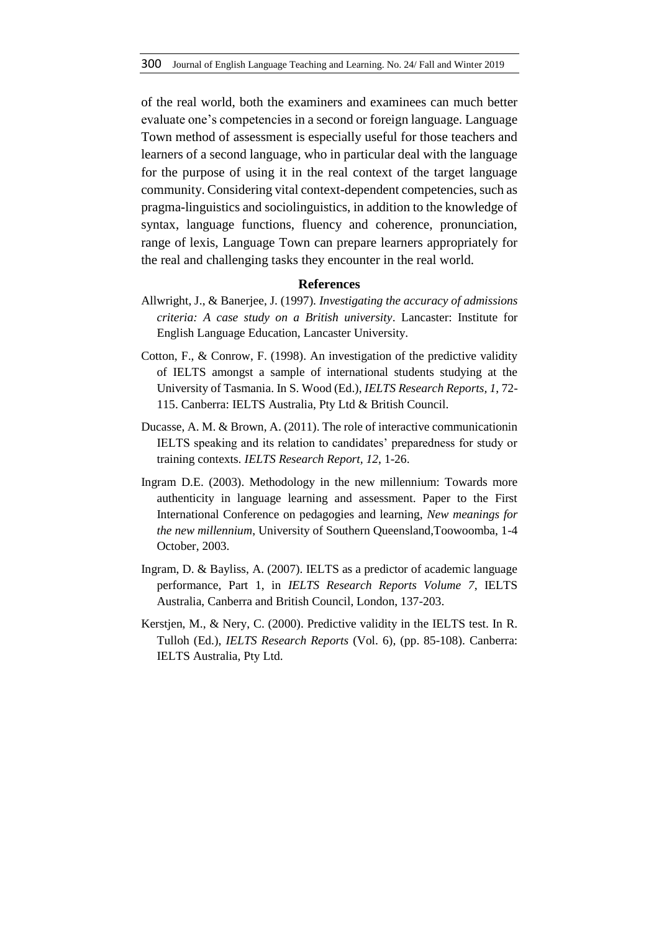of the real world, both the examiners and examinees can much better evaluate one's competencies in a second or foreign language. Language Town method of assessment is especially useful for those teachers and learners of a second language, who in particular deal with the language for the purpose of using it in the real context of the target language community. Considering vital context-dependent competencies, such as pragma-linguistics and sociolinguistics, in addition to the knowledge of syntax, language functions, fluency and coherence, pronunciation, range of lexis, Language Town can prepare learners appropriately for the real and challenging tasks they encounter in the real world.

# **References**

- Allwright, J., & Banerjee, J. (1997). *Investigating the accuracy of admissions criteria: A case study on a British university*. Lancaster: Institute for English Language Education, Lancaster University.
- Cotton, F., & Conrow, F. (1998). An investigation of the predictive validity of IELTS amongst a sample of international students studying at the University of Tasmania. In S. Wood (Ed.), *IELTS Research Reports, 1*, 72- 115. Canberra: IELTS Australia, Pty Ltd & British Council.
- Ducasse, A. M. & Brown, A. (2011). The role of interactive communicationin IELTS speaking and its relation to candidates' preparedness for study or training contexts. *IELTS Research Report, 12*, 1-26.
- Ingram D.E. (2003). Methodology in the new millennium: Towards more authenticity in language learning and assessment. Paper to the First International Conference on pedagogies and learning, *New meanings for the new millennium*, University of Southern Queensland,Toowoomba, 1-4 October, 2003.
- Ingram, D. & Bayliss, A. (2007). IELTS as a predictor of academic language performance, Part 1, in *IELTS Research Reports Volume 7*, IELTS Australia, Canberra and British Council, London, 137-203.
- Kerstjen, M., & Nery, C. (2000). Predictive validity in the IELTS test. In R. Tulloh (Ed.), *IELTS Research Reports* (Vol. 6)*,* (pp. 85-108). Canberra: IELTS Australia, Pty Ltd.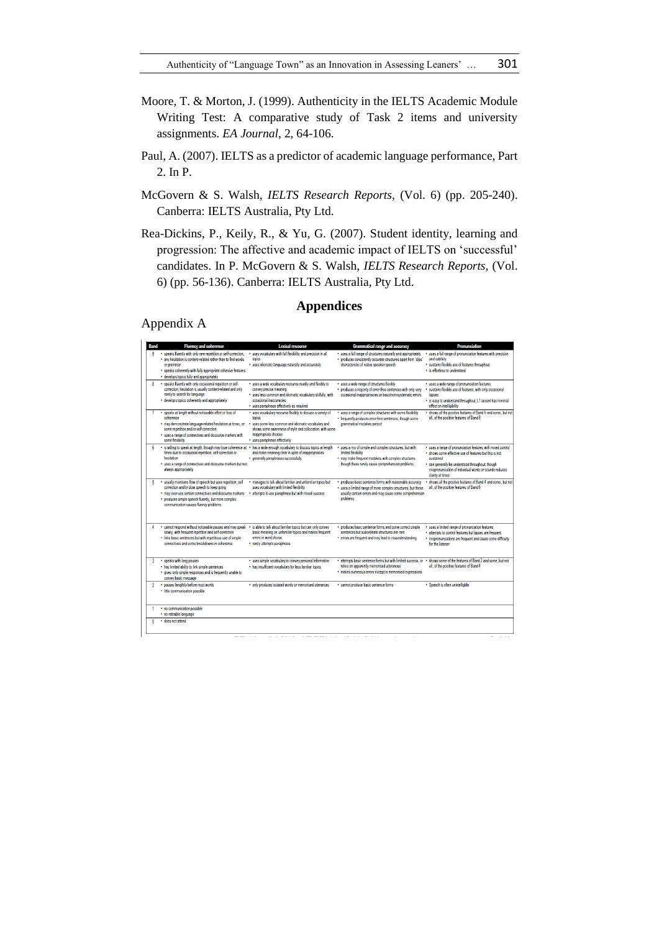- Moore, T. & Morton, J. (1999). Authenticity in the IELTS Academic Module Writing Test: A comparative study of Task 2 items and university assignments. *EA Journal*, 2, 64-106.
- Paul, A. (2007). IELTS as a predictor of academic language performance, Part 2. In P.
- McGovern & S. Walsh, *IELTS Research Reports,* (Vol. 6) (pp. 205-240). Canberra: IELTS Australia, Pty Ltd.
- Rea-Dickins, P., Keily, R., & Yu, G. (2007). Student identity, learning and progression: The affective and academic impact of IELTS on 'successful' candidates. In P. McGovern & S. Walsh, *IELTS Research Reports,* (Vol. 6) (pp. 56-136). Canberra: IELTS Australia, Pty Ltd.

## **Appendices**

Appendix A

| <b>Band</b>  | <b>Fluency and coherence</b>                                                                                                                                                                                                                                                               | <b>Lexical resource</b>                                                                                                                                                                                                                           | <b>Grammatical range and accuracy</b>                                                                                                                                                           | Pronunciation                                                                                                                                                                                                                                                        |
|--------------|--------------------------------------------------------------------------------------------------------------------------------------------------------------------------------------------------------------------------------------------------------------------------------------------|---------------------------------------------------------------------------------------------------------------------------------------------------------------------------------------------------------------------------------------------------|-------------------------------------------------------------------------------------------------------------------------------------------------------------------------------------------------|----------------------------------------------------------------------------------------------------------------------------------------------------------------------------------------------------------------------------------------------------------------------|
| ۹            | · speaks fluently with only rare repetition or self-correction:<br>. any hesitation is content-related rather than to find words<br>or grammar<br>· speaks coherently with fully appropriate cohesive features<br>· develops topics fully and appropriately                                | · uses vocabulary with full flexibility and precision in all<br>topics<br>· uses idiomatic language naturally and accurately                                                                                                                      | · uses a full range of structures naturally and appropriately<br>· produces consistently accurate structures apart from 'slips'<br>characteristic of native speaker speech                      | · uses a full range of pronunciation features with precision<br>and subtlety<br>· sustains flexible use of features throughout<br>. is effortless to understand                                                                                                      |
| R.           | · speaks fluently with only occasional repetition or self-<br>correction; hesitation is usually content-related and only<br>rarely to search for language<br>· develops topics coherently and appropriately                                                                                | · uses a wide vocabulary resource readily and flexibly to<br>convey precise meaning<br>· uses less common and idiomatic vocabulary skifully, with<br>occasional inaccuracies<br>· uses paraphrase effectively as required                         | · uses a wide range of structures flexibly<br>• produces a majority of error-free sentences with only very<br>occasional inappropriacies or basic/non-systematic errors                         | · uses a wide range of pronunciation features<br>· sustains flexible use of features, with only occasional<br>. is easy to understand throughout: L1 accent has minimal<br>effect on intelligibility                                                                 |
|              | · speaks at length without noticeable effort or loss of<br>coherence<br>. may demonstrate language-related hesitation at times, or<br>some repetition and/or self-correction<br>. uses a range of connectives and discourse markers with<br>some flexibility                               | . uses vocabulary resource flexibly to discuss a variety of<br>topics<br>uses some less common and idiomatic vocabulary and<br>shows some awareness of style and collocation, with some<br>inappropriate choices<br>· uses paraphrase effectively | . uses a range of complex structures with some flexibility<br>. frequently produces error-free sentences, though some<br>grammatical mistakes persist                                           | . shows all the positive features of Band 6 and some, but not<br>all, of the positive features of Band 8                                                                                                                                                             |
|              | . is willing to speak at length, though may lose coherence at . has a wide enough vocabulary to discuss topics at length<br>times due to occasional repetition, self-correction or<br>hesitation<br>. uses a range of connectives and discourse markers but not<br>always appropriately    | and make meaning clear in spite of inappropriacies<br>· generally paraphrases successfully                                                                                                                                                        | uses a mix of simple and complex structures, but with<br><b>Imited flexibility</b><br>. may make frequent mistakes with complex structures<br>though these rarely cause comprehension problems  | · uses a range of pronunciation features with mixed control<br>. shows some effective use of features but this is not<br>cuctained<br>· can generally be understood throughout, though<br>mispronunciation of individual words or sounds reduces<br>clarity at times |
| 5            | · usually maintains flow of speech but uses repetition, self<br>correction and/or slow speech to keep going<br>. may over-use certain connectives and discourse markers<br>• produces simple speech fluently, but more complex<br>communication causes fluency problems                    | · manages to talk about familiar and unfamiliar topics but<br>uses vocabulary with limited flexibility<br>· attempts to use paraphrase but with mixed success                                                                                     | · produces basic sentence forms with reasonable accuracy<br>. uses a limited range of more complex structures, but these<br>usually contain errors and may cause some comprehension<br>problems | . shows all the positive features of Band 4 and some, but not<br>all, of the positive features of Band 6                                                                                                                                                             |
|              | . cannot respond without noticeable pauses and may speak . is able to talk about familiar topics but can only convey<br>slowly, with frequent repetition and self-correction<br>. links basic sentences but with repetitious use of simple<br>connectives and some breakdowns in coherence | basic meaning on unfamiliar topics and makes frequent<br>errors in word choice<br>· rarely attempts paraphrase                                                                                                                                    | . produces basic sentence forms and some correct simple<br>sentences but subordinate structures are rare<br>• errors are frequent and may lead to misunderstanding                              | . uses a limited range of pronunciation features<br>· attempts to control features but lapses are frequent<br>. mispronunciations are frequent and cause some difficulty<br>for the listener                                                                         |
|              | · speaks with long pauses<br>. has limited ability to link simple sentences<br>· gives only simple responses and is frequently unable to<br>convey basic message                                                                                                                           | · uses simple vocabulary to convey personal information<br>. has insufficient vocabulary for less familiar topics                                                                                                                                 | . attempts basic sentence forms but with limited success, or .<br>relies on apparently memorised utterances<br>. makes numerous errors except in memorised expressions                          | shows some of the features of Band 2 and some but not<br>all, of the positive features of Band 4                                                                                                                                                                     |
| <sup>2</sup> | · pauses lengthily before most words<br>· little communication possible                                                                                                                                                                                                                    | . only produces isolated words or memorised utterances                                                                                                                                                                                            | · cannot produce basic sentence forms                                                                                                                                                           | · Speech is often unintelliable                                                                                                                                                                                                                                      |
|              | · no communication possible<br>· no rateable language                                                                                                                                                                                                                                      |                                                                                                                                                                                                                                                   |                                                                                                                                                                                                 |                                                                                                                                                                                                                                                                      |
| $\mathbf{a}$ | · does not attend                                                                                                                                                                                                                                                                          |                                                                                                                                                                                                                                                   |                                                                                                                                                                                                 |                                                                                                                                                                                                                                                                      |